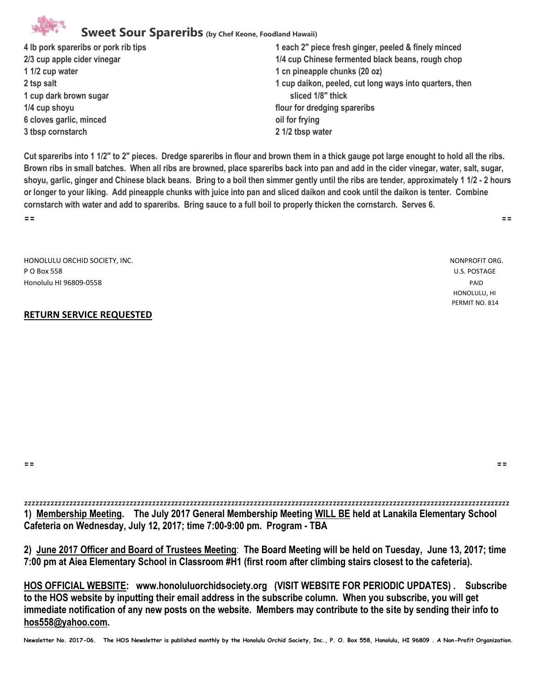# **Sweet Sour Spareribs (by Chef Keone, Foodland Hawaii)**

- **1 1/2 cup water 1 cn pineapple chunks (20 oz) 1 cup dark brown sugar sliced 1/8" thick 1/4 cup shoyu flour for dredging spareribs 6 cloves garlic, minced oil for frying 3 tbsp cornstarch 2 1/2 tbsp water**
- **4 lb pork spareribs or pork rib tips 1 each 2" piece fresh ginger, peeled & finely minced 2/3 cup apple cider vinegar 1/4 cup Chinese fermented black beans, rough chop 2 tsp salt 1 cup daikon, peeled, cut long ways into quarters, then**

**Cut spareribs into 1 1/2" to 2" pieces. Dredge spareribs in flour and brown them in a thick gauge pot large enought to hold all the ribs. Brown ribs in small batches. When all ribs are browned, place spareribs back into pan and add in the cider vinegar, water, salt, sugar, shoyu, garlic, ginger and Chinese black beans. Bring to a boil then simmer gently until the ribs are tender, approximately 1 1/2 - 2 hours or longer to your liking. Add pineapple chunks with juice into pan and sliced daikon and cook until the daikon is tenter. Combine cornstarch with water and add to spareribs. Bring sauce to a full boil to properly thicken the cornstarch. Serves 6. == ==**

HONOLULU ORCHID SOCIETY, INC. NONPROFIT ORG. NONPROFIT ORG. P O Box 558 U.S. POSTAGE Honolulu HI 96809-0558 PAID HONOLULU, HI

#### **RETURN SERVICE REQUESTED**

PERMIT NO. 814

**== ==**

zzzzzzzzzzzzzzzzzzzzzzzzzzzzzzzzzzzzzzzzzzzzzzzzzzzzzzzzzzzzzzzzzzzzzzzzzzzzzzzzzzzzzzzzzzzzzzzzzzzzzzzzzzzzzzzzzzzzzzzzzzzzzzzzz **1) Membership Meeting. The July 2017 General Membership Meeting WILL BE held at Lanakila Elementary School Cafeteria on Wednesday, July 12, 2017; time 7:00-9:00 pm. Program - TBA**

**2) June 2017 Officer and Board of Trustees Meeting**: **The Board Meeting will be held on Tuesday, June 13, 2017; time 7:00 pm at Aiea Elementary School in Classroom #H1 (first room after climbing stairs closest to the cafeteria).** 

**HOS OFFICIAL WEBSITE: www.honoluluorchidsociety.org (VISIT WEBSITE FOR PERIODIC UPDATES) . Subscribe to the HOS website by inputting their email address in the subscribe column. When you subscribe, you will get immediate notification of any new posts on the website. Members may contribute to the site by sending their info to hos558@yahoo.com.** 

**Newsletter No. 2017-06. The HOS Newsletter is published monthly by the Honolulu Orchid Society, Inc., P. O. Box 558, Honolulu, HI 96809 . A Non-Profit Organization.**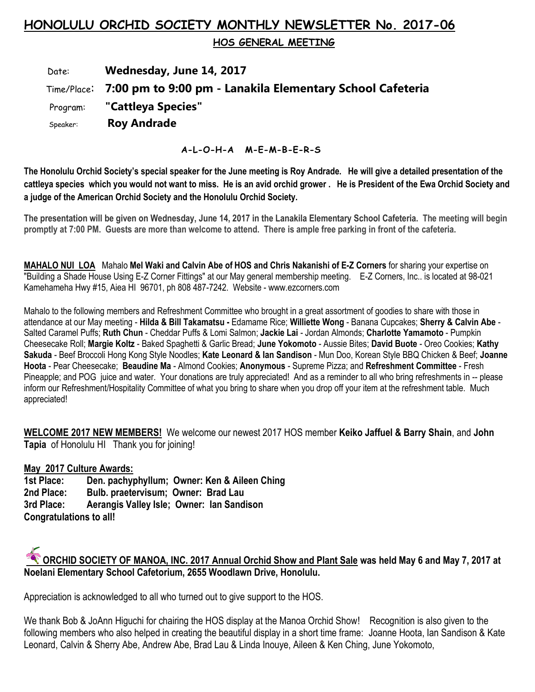# **HONOLULU ORCHID SOCIETY MONTHLY NEWSLETTER No. 2017-06**

 **HOS GENERAL MEETING** 

# Date: **Wednesday, June 14, 2017** Time/Place: **7:00 pm to 9:00 pm - Lanakila Elementary School Cafeteria** Program: **"Cattleya Species"** Speaker: **Roy Andrade**

### **A-L-O-H-A M-E-M-B-E-R-S**

**The Honolulu Orchid Society's special speaker for the June meeting is Roy Andrade. He will give a detailed presentation of the cattleya species which you would not want to miss. He is an avid orchid grower . He is President of the Ewa Orchid Society and a judge of the American Orchid Society and the Honolulu Orchid Society.**

**The presentation will be given on Wednesday, June 14, 2017 in the Lanakila Elementary School Cafeteria. The meeting will begin promptly at 7:00 PM. Guests are more than welcome to attend. There is ample free parking in front of the cafeteria.**

**MAHALO NUI LOA** Mahalo **Mel Waki and Calvin Abe of HOS and Chris Nakanishi of E-Z Corners** for sharing your expertise on "Building a Shade House Using E-Z Corner Fittings" at our May general membership meeting. E-Z Corners, Inc.. is located at 98-021 Kamehameha Hwy #15, Aiea HI 96701, ph 808 487-7242. Website - www.ezcorners.com

Mahalo to the following members and Refreshment Committee who brought in a great assortment of goodies to share with those in attendance at our May meeting - **Hilda & Bill Takamatsu -** Edamame Rice; **Williette Wong** - Banana Cupcakes; **Sherry & Calvin Abe** - Salted Caramel Puffs; **Ruth Chun** - Cheddar Puffs & Lomi Salmon; **Jackie Lai** - Jordan Almonds; **Charlotte Yamamoto** - Pumpkin Cheesecake Roll; **Margie Koltz** - Baked Spaghetti & Garlic Bread; **June Yokomoto** - Aussie Bites; **David Buote** - Oreo Cookies; **Kathy Sakuda** - Beef Broccoli Hong Kong Style Noodles; **Kate Leonard & Ian Sandison** - Mun Doo, Korean Style BBQ Chicken & Beef; **Joanne Hoota** - Pear Cheesecake; **Beaudine Ma** - Almond Cookies; **Anonymous** - Supreme Pizza; and **Refreshment Committee** - Fresh Pineapple; and POG juice and water. Your donations are truly appreciated! And as a reminder to all who bring refreshments in -- please inform our Refreshment/Hospitality Committee of what you bring to share when you drop off your item at the refreshment table. Much appreciated!

**WELCOME 2017 NEW MEMBERS!** We welcome our newest 2017 HOS member **Keiko Jaffuel & Barry Shain**, and **John Tapia** of Honolulu HI Thank you for joining!

# **May 2017 Culture Awards:**

**1st Place: Den. pachyphyllum; Owner: Ken & Aileen Ching 2nd Place: Bulb. praetervisum; Owner: Brad Lau 3rd Place: Aerangis Valley Isle; Owner: Ian Sandison Congratulations to all!** 



Appreciation is acknowledged to all who turned out to give support to the HOS.

We thank Bob & JoAnn Higuchi for chairing the HOS display at the Manoa Orchid Show! Recognition is also given to the following members who also helped in creating the beautiful display in a short time frame: Joanne Hoota, Ian Sandison & Kate Leonard, Calvin & Sherry Abe, Andrew Abe, Brad Lau & Linda Inouye, Aileen & Ken Ching, June Yokomoto,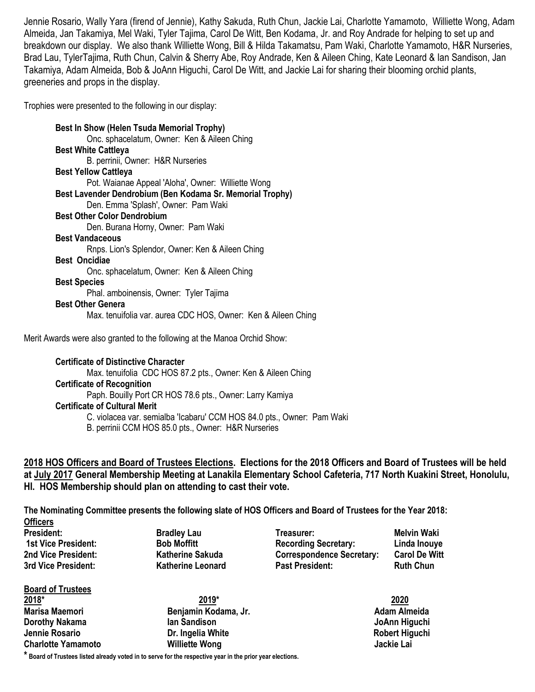Jennie Rosario, Wally Yara (firend of Jennie), Kathy Sakuda, Ruth Chun, Jackie Lai, Charlotte Yamamoto, Williette Wong, Adam Almeida, Jan Takamiya, Mel Waki, Tyler Tajima, Carol De Witt, Ben Kodama, Jr. and Roy Andrade for helping to set up and breakdown our display. We also thank Williette Wong, Bill & Hilda Takamatsu, Pam Waki, Charlotte Yamamoto, H&R Nurseries, Brad Lau, TylerTajima, Ruth Chun, Calvin & Sherry Abe, Roy Andrade, Ken & Aileen Ching, Kate Leonard & Ian Sandison, Jan Takamiya, Adam Almeida, Bob & JoAnn Higuchi, Carol De Witt, and Jackie Lai for sharing their blooming orchid plants, greeneries and props in the display.

Trophies were presented to the following in our display:

**Best In Show (Helen Tsuda Memorial Trophy)** Onc. sphacelatum, Owner: Ken & Aileen Ching **Best White Cattleya** B. perrinii, Owner: H&R Nurseries **Best Yellow Cattleya** Pot. Waianae Appeal 'Aloha', Owner: Williette Wong **Best Lavender Dendrobium (Ben Kodama Sr. Memorial Trophy)** Den. Emma 'Splash', Owner: Pam Waki **Best Other Color Dendrobium** Den. Burana Horny, Owner: Pam Waki **Best Vandaceous** Rnps. Lion's Splendor, Owner: Ken & Aileen Ching **Best Oncidiae** Onc. sphacelatum, Owner: Ken & Aileen Ching **Best Species** Phal. amboinensis, Owner: Tyler Tajima **Best Other Genera** Max. tenuifolia var. aurea CDC HOS, Owner: Ken & Aileen Ching

Merit Awards were also granted to the following at the Manoa Orchid Show:

#### **Certificate of Distinctive Character**

Max. tenuifolia CDC HOS 87.2 pts., Owner: Ken & Aileen Ching

#### **Certificate of Recognition**

Paph. Bouilly Port CR HOS 78.6 pts., Owner: Larry Kamiya

- **Certificate of Cultural Merit**
	- C. violacea var. semialba 'Icabaru' CCM HOS 84.0 pts., Owner: Pam Waki
	- B. perrinii CCM HOS 85.0 pts., Owner: H&R Nurseries

**2018 HOS Officers and Board of Trustees Elections. Elections for the 2018 Officers and Board of Trustees will be held at July 2017 General Membership Meeting at Lanakila Elementary School Cafeteria, 717 North Kuakini Street, Honolulu, HI. HOS Membership should plan on attending to cast their vote.**

**The Nominating Committee presents the following slate of HOS Officers and Board of Trustees for the Year 2018:**

**Officers** 

**Board of Trustees 2018\* 2019\* 2020 Marisa Maemori Benjamin Kodama, Jr. Adam Almeida Dorothy Nakama Ian Sandison JoAnn Higuchi Jennie Rosario Dr. Ingelia White Robert Higuchi Charlotte Yamamoto Williette Wong Jackie Lai**

**President:** Bradley Lau **Treasurer:** Melvin Waki **Network 1st Vice President: Bob Moffitt Recording Secretary: Linda Inouye 2nd Vice President: Katherine Sakuda Correspondence Secretary: Carol De Witt 3rd Vice President: Katherine Leonard Past President: Ruth Chun**

**\* Board of Trustees listed already voted in to serve for the respective year in the prior year elections.**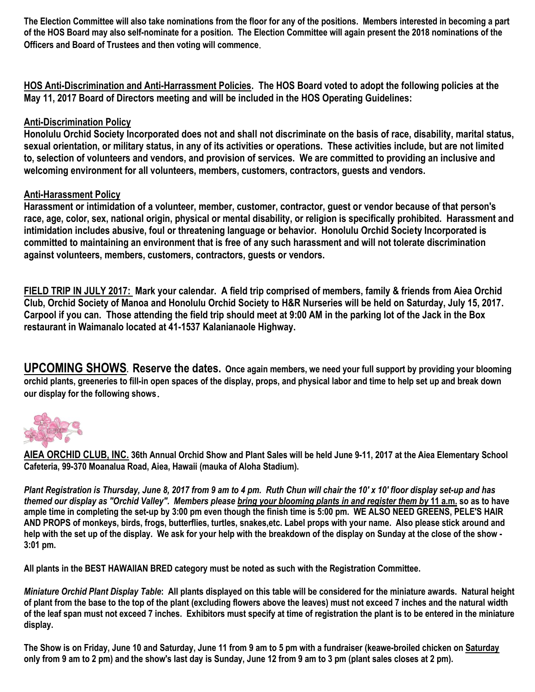**The Election Committee will also take nominations from the floor for any of the positions. Members interested in becoming a part of the HOS Board may also self-nominate for a position. The Election Committee will again present the 2018 nominations of the Officers and Board of Trustees and then voting will commence**.

**HOS Anti-Discrimination and Anti-Harrassment Policies. The HOS Board voted to adopt the following policies at the May 11, 2017 Board of Directors meeting and will be included in the HOS Operating Guidelines:**

## **Anti-Discrimination Policy**

**Honolulu Orchid Society Incorporated does not and shall not discriminate on the basis of race, disability, marital status, sexual orientation, or military status, in any of its activities or operations. These activities include, but are not limited to, selection of volunteers and vendors, and provision of services. We are committed to providing an inclusive and welcoming environment for all volunteers, members, customers, contractors, guests and vendors.**

## **Anti-Harassment Policy**

**Harassment or intimidation of a volunteer, member, customer, contractor, guest or vendor because of that person's race, age, color, sex, national origin, physical or mental disability, or religion is specifically prohibited. Harassment and intimidation includes abusive, foul or threatening language or behavior. Honolulu Orchid Society Incorporated is committed to maintaining an environment that is free of any such harassment and will not tolerate discrimination against volunteers, members, customers, contractors, guests or vendors.**

**FIELD TRIP IN JULY 2017: Mark your calendar. A field trip comprised of members, family & friends from Aiea Orchid Club, Orchid Society of Manoa and Honolulu Orchid Society to H&R Nurseries will be held on Saturday, July 15, 2017. Carpool if you can. Those attending the field trip should meet at 9:00 AM in the parking lot of the Jack in the Box restaurant in Waimanalo located at 41-1537 Kalanianaole Highway.**

**UPCOMING SHOWS. Reserve the dates. Once again members, we need your full support by providing your blooming orchid plants, greeneries to fill-in open spaces of the display, props, and physical labor and time to help set up and break down our display for the following shows.**



**AIEA ORCHID CLUB, INC. 36th Annual Orchid Show and Plant Sales will be held June 9-11, 2017 at the Aiea Elementary School Cafeteria, 99-370 Moanalua Road, Aiea, Hawaii (mauka of Aloha Stadium).** 

*Plant Registration is Thursday, June 8, 2017 from 9 am to 4 pm. Ruth Chun will chair the 10' x 10' floor display set-up and has themed our display as "Orchid Valley". Members please bring your blooming plants in and register them by* **11 a.m. so as to have ample time in completing the set-up by 3:00 pm even though the finish time is 5:00 pm. WE ALSO NEED GREENS, PELE'S HAIR AND PROPS of monkeys, birds, frogs, butterflies, turtles, snakes,etc. Label props with your name. Also please stick around and help with the set up of the display. We ask for your help with the breakdown of the display on Sunday at the close of the show - 3:01 pm.**

**All plants in the BEST HAWAIIAN BRED category must be noted as such with the Registration Committee.**

*Miniature Orchid Plant Display Table***: All plants displayed on this table will be considered for the miniature awards. Natural height of plant from the base to the top of the plant (excluding flowers above the leaves) must not exceed 7 inches and the natural width of the leaf span must not exceed 7 inches. Exhibitors must specify at time of registration the plant is to be entered in the miniature display.**

**The Show is on Friday, June 10 and Saturday, June 11 from 9 am to 5 pm with a fundraiser (keawe-broiled chicken on Saturday only from 9 am to 2 pm) and the show's last day is Sunday, June 12 from 9 am to 3 pm (plant sales closes at 2 pm).**